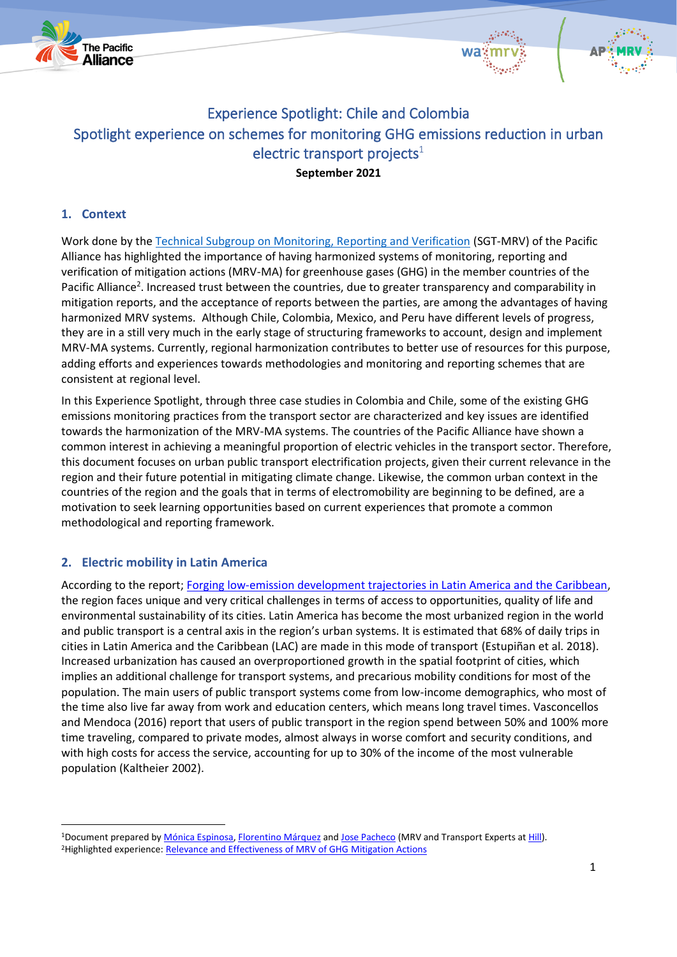





# Experience Spotlight: Chile and Colombia Spotlight experience on schemes for monitoring GHG emissions reduction in urban electric transport projects $1$ **September 2021**

## **1. Context**

Work done by the [Technical Subgroup on Monitoring, Reporting and Verification](https://alianzapacifico.net/en/technical-group-environment/#1603327628778-3-7) (SGT-MRV) of the Pacific Alliance has highlighted the importance of having harmonized systems of monitoring, reporting and verification of mitigation actions (MRV-MA) for greenhouse gases (GHG) in the member countries of the Pacific Alliance<sup>2</sup>. Increased trust between the countries, due to greater transparency and comparability in mitigation reports, and the acceptance of reports between the parties, are among the advantages of having harmonized MRV systems. Although Chile, Colombia, Mexico, and Peru have different levels of progress, they are in a still very much in the early stage of structuring frameworks to account, design and implement MRV-MA systems. Currently, regional harmonization contributes to better use of resources for this purpose, adding efforts and experiences towards methodologies and monitoring and reporting schemes that are consistent at regional level.

In this Experience Spotlight, through three case studies in Colombia and Chile, some of the existing GHG emissions monitoring practices from the transport sector are characterized and key issues are identified towards the harmonization of the MRV-MA systems. The countries of the Pacific Alliance have shown a common interest in achieving a meaningful proportion of electric vehicles in the transport sector. Therefore, this document focuses on urban public transport electrification projects, given their current relevance in the region and their future potential in mitigating climate change. Likewise, the common urban context in the countries of the region and the goals that in terms of electromobility are beginning to be defined, are a motivation to seek learning opportunities based on current experiences that promote a common methodological and reporting framework.

# **2. Electric mobility in Latin America**

According to the report; [Forging low-emission development trajectories in Latin America and the Caribbean,](https://ledsgp.org/wp-content/uploads/2017/05/CDKN_LEDS_LAC_Urbanization_SP_Pr2web.pdf) the region faces unique and very critical challenges in terms of access to opportunities, quality of life and environmental sustainability of its cities. Latin America has become the most urbanized region in the world and public transport is a central axis in the region's urban systems. It is estimated that 68% of daily trips in cities in Latin America and the Caribbean (LAC) are made in this mode of transport (Estupiñan et al. 2018). Increased urbanization has caused an overproportioned growth in the spatial footprint of cities, which implies an additional challenge for transport systems, and precarious mobility conditions for most of the population. The main users of public transport systems come from low-income demographics, who most of the time also live far away from work and education centers, which means long travel times. Vasconcellos and Mendoca (2016) report that users of public transport in the region spend between 50% and 100% more time traveling, compared to private modes, almost always in worse comfort and security conditions, and with high costs for access the service, accounting for up to 30% of the income of the most vulnerable population (Kaltheier 2002).

<sup>&</sup>lt;sup>1</sup>Document prepared by *Mónica Espinosa*, [Florentino Márquez](https://www.linkedin.com/in/jcflorentino/) an[d Jose Pacheco](https://www.linkedin.com/in/jose-pacheco-iamb/) (MRV and Transport Experts a[t Hill\)](https://hill.com.co/). <sup>2</sup>Highlighted experience: [Relevance and Effectiveness of MRV of GHG Mitigation Actions](https://alianzapacifico.net/wp-content/uploads/AP-MRVAM-Sintesis-Final-ESP.pdf)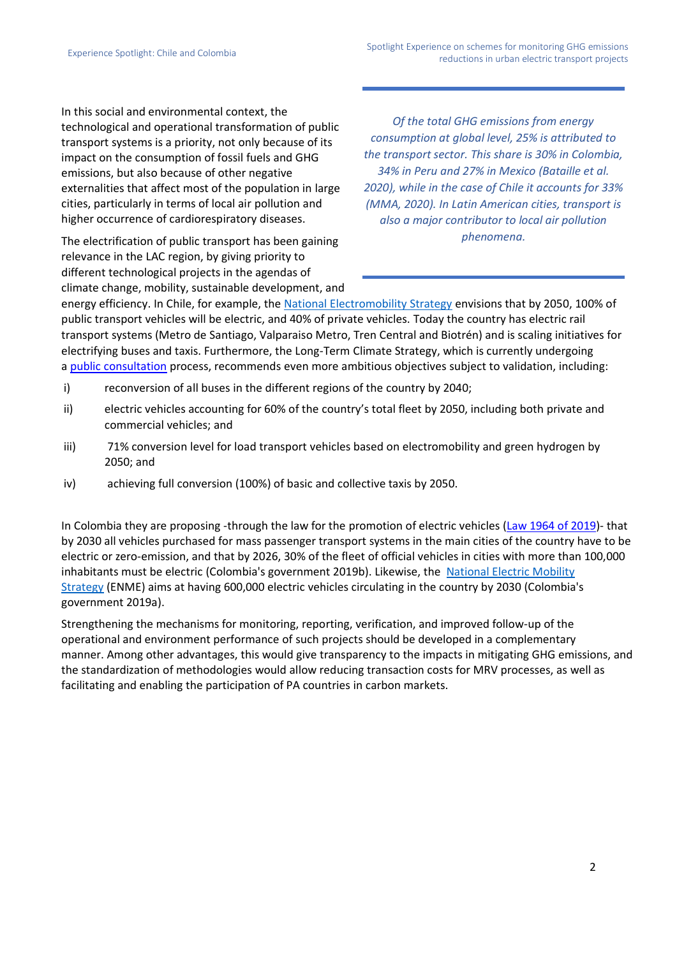In this social and environmental context, the technological and operational transformation of public transport systems is a priority, not only because of its impact on the consumption of fossil fuels and GHG emissions, but also because of other negative externalities that affect most of the population in large cities, particularly in terms of local air pollution and higher occurrence of cardiorespiratory diseases.

The electrification of public transport has been gaining relevance in the LAC region, by giving priority to different technological projects in the agendas of climate change, mobility, sustainable development, and

*Of the total GHG emissions from energy consumption at global level, 25% is attributed to the transport sector. This share is 30% in Colombia, 34% in Peru and 27% in Mexico (Bataille et al. 2020), while in the case of Chile it accounts for 33% (MMA, 2020). In Latin American cities, transport is also a major contributor to local air pollution phenomena.*

energy efficiency. In Chile, for example, the [National Electromobility Strategy](https://energia.gob.cl/sites/default/files/estrategia_electromovilidad-8dic-web.pdf) envisions that by 2050, 100% of public transport vehicles will be electric, and 40% of private vehicles. Today the country has electric rail transport systems (Metro de Santiago, Valparaiso Metro, Tren Central and Biotrén) and is scaling initiatives for electrifying buses and taxis. Furthermore, the Long-Term Climate Strategy, which is currently undergoing a [public consultation](https://consultasciudadanas.mma.gob.cl/portal/consulta/107) process, recommends even more ambitious objectives subject to validation, including:

- i) reconversion of all buses in the different regions of the country by 2040;
- ii) electric vehicles accounting for 60% of the country's total fleet by 2050, including both private and commercial vehicles; and
- iii) 71% conversion level for load transport vehicles based on electromobility and green hydrogen by 2050; and
- iv) achieving full conversion (100%) of basic and collective taxis by 2050.

In Colombia they are proposing -through the law for the promotion of electric vehicles [\(Law 1964 of 2019\)](https://dapre.presidencia.gov.co/normativa/normativa/LEY%201964%20DEL%2011%20DE%20JULIO%20DE%202019.pdf)- that by 2030 all vehicles purchased for mass passenger transport systems in the main cities of the country have to be electric or zero-emission, and that by 2026, 30% of the fleet of official vehicles in cities with more than 100,000 inhabitants must be electric (Colombia's government 2019b). Likewise, the National Electric Mobility [Strategy](https://www1.upme.gov.co/DemandaEnergetica/ENME.pdf) (ENME) aims at having 600,000 electric vehicles circulating in the country by 2030 (Colombia's government 2019a).

Strengthening the mechanisms for monitoring, reporting, verification, and improved follow-up of the operational and environment performance of such projects should be developed in a complementary manner. Among other advantages, this would give transparency to the impacts in mitigating GHG emissions, and the standardization of methodologies would allow reducing transaction costs for MRV processes, as well as facilitating and enabling the participation of PA countries in carbon markets.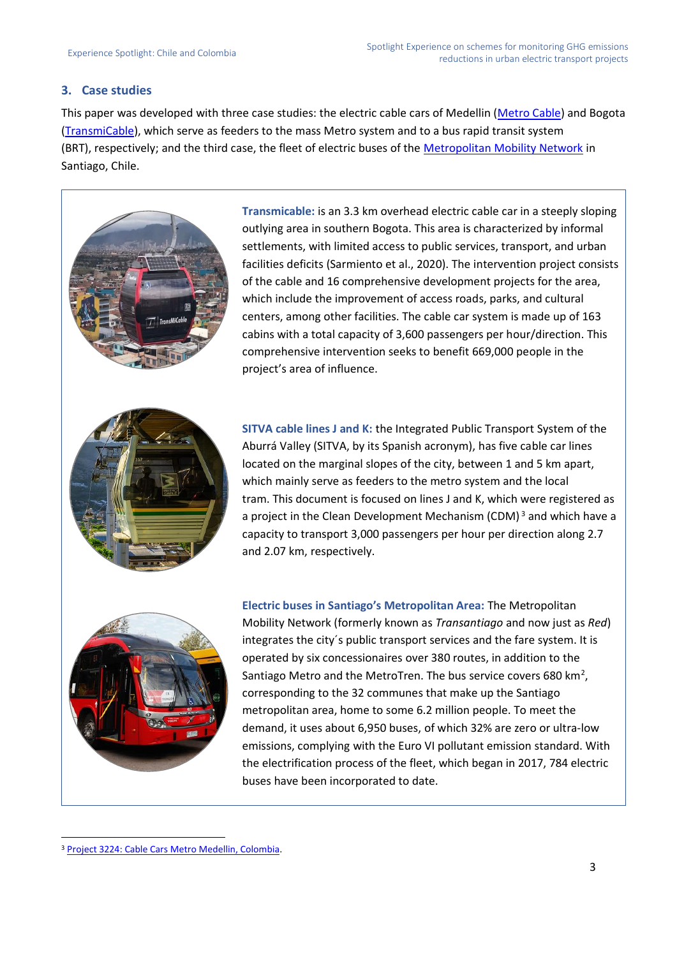### **3. Case studies**

This paper was developed with three case studies: the electric cable cars of Medellin [\(Metro Cable\)](https://www.metrodemedellin.gov.co/viaje-con-nosotros/sistema-integrado/l%C3%ADnea-k) and Bogota [\(TransmiCable\)](https://www.transmilenio.gov.co/TransMiCable/), which serve as feeders to the mass Metro system and to a bus rapid transit system (BRT), respectively; and the third case, the fleet of electric buses of the [Metropolitan Mobility Network](https://www.red.cl/) in Santiago, Chile.



**Electric buses in Santiago's Metropolitan Area:** The Metropolitan Mobility Network (formerly known as *Transantiago* and now just as *Red*) integrates the city´s public transport services and the fare system. It is operated by six concessionaires over 380 routes, in addition to the Santiago Metro and the MetroTren. The bus service covers 680  $km^2$ , corresponding to the 32 communes that make up the Santiago metropolitan area, home to some 6.2 million people. To meet the demand, it uses about 6,950 buses, of which 32% are zero or ultra-low emissions, complying with the Euro VI pollutant emission standard. With the electrification process of the fleet, which began in 2017, 784 electric buses have been incorporated to date.

<sup>3</sup> [Project 3224: Cable Cars Metro Medellin, Colombia.](https://cdm.unfccc.int/Projects/DB/TUEV-SUED1260805836.78/view)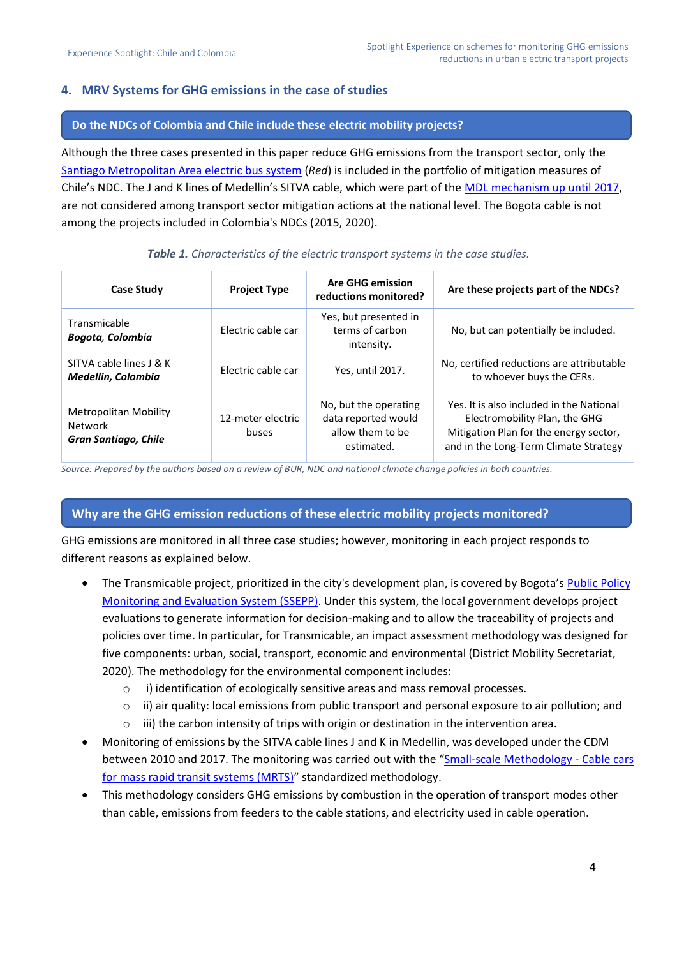### **4. MRV Systems for GHG emissions in the case of studies**

#### **Do the NDCs of Colombia and Chile include these electric mobility projects?**

Although the three cases presented in this paper reduce GHG emissions from the transport sector, only the [Santiago Metropolitan Area electric bus system](https://energia.gob.cl/electromovilidad/transporte-de-pasajeros/buses-electricos-red) (*Red*) is included in the portfolio of mitigation measures of Chile's NDC. The J and K lines of Medellin's SITVA cable, which were part of the [MDL mechanism up until 2017,](https://cdm.unfccc.int/Projects/DB/TUEV-SUED1260805836.78/view) are not considered among transport sector mitigation actions at the national level. The Bogota cable is not among the projects included in Colombia's NDCs (2015, 2020).

| <b>Case Study</b>                                               | <b>Project Type</b>        | <b>Are GHG emission</b><br>reductions monitored?                               | Are these projects part of the NDCs?                                                                                                                         |
|-----------------------------------------------------------------|----------------------------|--------------------------------------------------------------------------------|--------------------------------------------------------------------------------------------------------------------------------------------------------------|
| Transmicable<br><b>Bogota, Colombia</b>                         | Electric cable car         | Yes, but presented in<br>terms of carbon<br>intensity.                         | No, but can potentially be included.                                                                                                                         |
| SITVA cable lines J & K<br>Medellin, Colombia                   | Electric cable car         | Yes, until 2017.                                                               | No, certified reductions are attributable<br>to whoever buys the CERs.                                                                                       |
| Metropolitan Mobility<br>Network<br><b>Gran Santiago, Chile</b> | 12-meter electric<br>buses | No, but the operating<br>data reported would<br>allow them to be<br>estimated. | Yes. It is also included in the National<br>Electromobility Plan, the GHG<br>Mitigation Plan for the energy sector,<br>and in the Long-Term Climate Strategy |

#### *Table 1. Characteristics of the electric transport systems in the case studies.*

*Source: Prepared by the authors based on a review of BUR, NDC and national climate change policies in both countries.*

### **Why are the GHG emission reductions of these electric mobility projects monitored?**

GHG emissions are monitored in all three case studies; however, monitoring in each project responds to different reasons as explained below.

- The Transmicable project, prioritized in the city's development plan, is covered by Bogota's [Public Policy](http://www.sdp.gov.co/content/sistema-de-seguimiento-y-evaluacion-de-politicas-publicas-ssepp)  [Monitoring and Evaluation System \(SSEPP\).](http://www.sdp.gov.co/content/sistema-de-seguimiento-y-evaluacion-de-politicas-publicas-ssepp) Under this system, the local government develops project evaluations to generate information for decision-making and to allow the traceability of projects and policies over time. In particular, for Transmicable, an impact assessment methodology was designed for five components: urban, social, transport, economic and environmental (District Mobility Secretariat, 2020). The methodology for the environmental component includes:
	- o i) identification of ecologically sensitive areas and mass removal processes.
	- $\circ$  ii) air quality: local emissions from public transport and personal exposure to air pollution; and
	- $\circ$  iii) the carbon intensity of trips with origin or destination in the intervention area.
- Monitoring of emissions by the SITVA cable lines J and K in Medellin, was developed under the CDM between 2010 and 2017. The monitoring was carried out with the "[Small-scale Methodology -](https://cdm.unfccc.int/methodologies/DB/I7O8EX3R0PA22GNGBJMH2FHCOIL03L) Cable cars [for mass rapid transit systems \(MRTS\)](https://cdm.unfccc.int/methodologies/DB/I7O8EX3R0PA22GNGBJMH2FHCOIL03L)" standardized methodology.
- This methodology considers GHG emissions by combustion in the operation of transport modes other than cable, emissions from feeders to the cable stations, and electricity used in cable operation.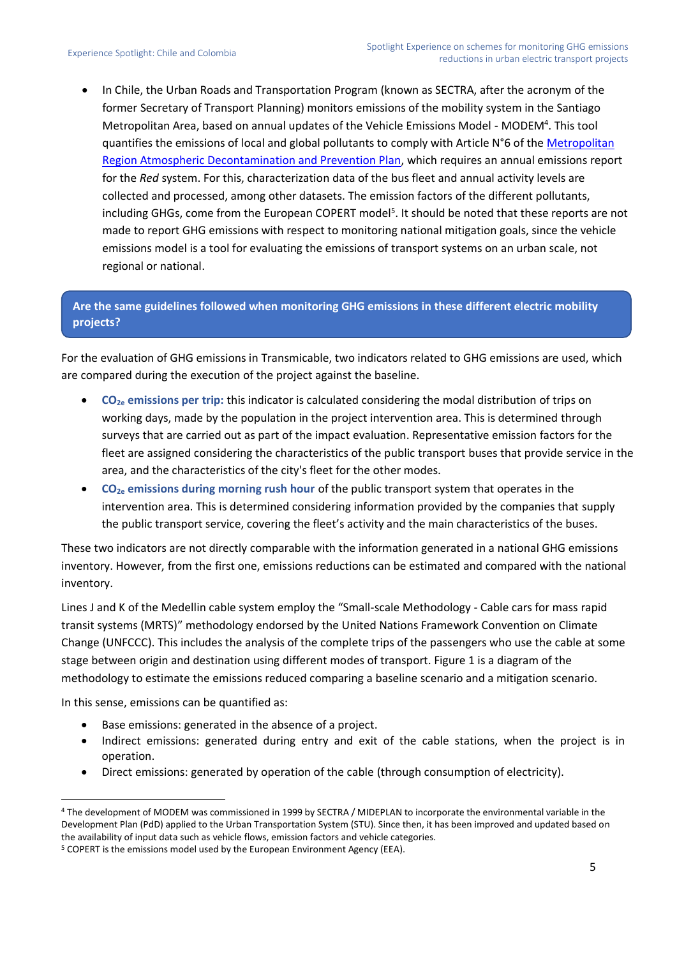• In Chile, the Urban Roads and Transportation Program (known as SECTRA, after the acronym of the former Secretary of Transport Planning) monitors emissions of the mobility system in the Santiago Metropolitan Area, based on annual updates of the Vehicle Emissions Model - MODEM<sup>4</sup>. This tool quantifies the emissions of local and global pollutants to comply with Article N°6 of the Metropolitan [Region Atmospheric Decontamination and Prevention Plan,](https://ppda.mma.gob.cl/region-metropolitana/ppda-region-metropolitana/) which requires an annual emissions report for the *Red* system. For this, characterization data of the bus fleet and annual activity levels are collected and processed, among other datasets. The emission factors of the different pollutants, including GHGs, come from the European COPERT model<sup>5</sup>. It should be noted that these reports are not made to report GHG emissions with respect to monitoring national mitigation goals, since the vehicle emissions model is a tool for evaluating the emissions of transport systems on an urban scale, not regional or national.

# **Are the same guidelines followed when monitoring GHG emissions in these different electric mobility projects?**

For the evaluation of GHG emissions in Transmicable, two indicators related to GHG emissions are used, which are compared during the execution of the project against the baseline.

- **CO2e emissions per trip:** this indicator is calculated considering the modal distribution of trips on working days, made by the population in the project intervention area. This is determined through surveys that are carried out as part of the impact evaluation. Representative emission factors for the fleet are assigned considering the characteristics of the public transport buses that provide service in the area, and the characteristics of the city's fleet for the other modes.
- **CO2e emissions during morning rush hour** of the public transport system that operates in the intervention area. This is determined considering information provided by the companies that supply the public transport service, covering the fleet's activity and the main characteristics of the buses.

These two indicators are not directly comparable with the information generated in a national GHG emissions inventory. However, from the first one, emissions reductions can be estimated and compared with the national inventory.

Lines J and K of the Medellin cable system employ the "Small-scale Methodology - Cable cars for mass rapid transit systems (MRTS)" methodology endorsed by the United Nations Framework Convention on Climate Change (UNFCCC). This includes the analysis of the complete trips of the passengers who use the cable at some stage between origin and destination using different modes of transport. Figure 1 is a diagram of the methodology to estimate the emissions reduced comparing a baseline scenario and a mitigation scenario.

In this sense, emissions can be quantified as:

- Base emissions: generated in the absence of a project.
- Indirect emissions: generated during entry and exit of the cable stations, when the project is in operation.
- Direct emissions: generated by operation of the cable (through consumption of electricity).

<sup>4</sup> The development of MODEM was commissioned in 1999 by SECTRA / MIDEPLAN to incorporate the environmental variable in the Development Plan (PdD) applied to the Urban Transportation System (STU). Since then, it has been improved and updated based on the availability of input data such as vehicle flows, emission factors and vehicle categories.

<sup>&</sup>lt;sup>5</sup> COPERT is the emissions model used by the European Environment Agency (EEA).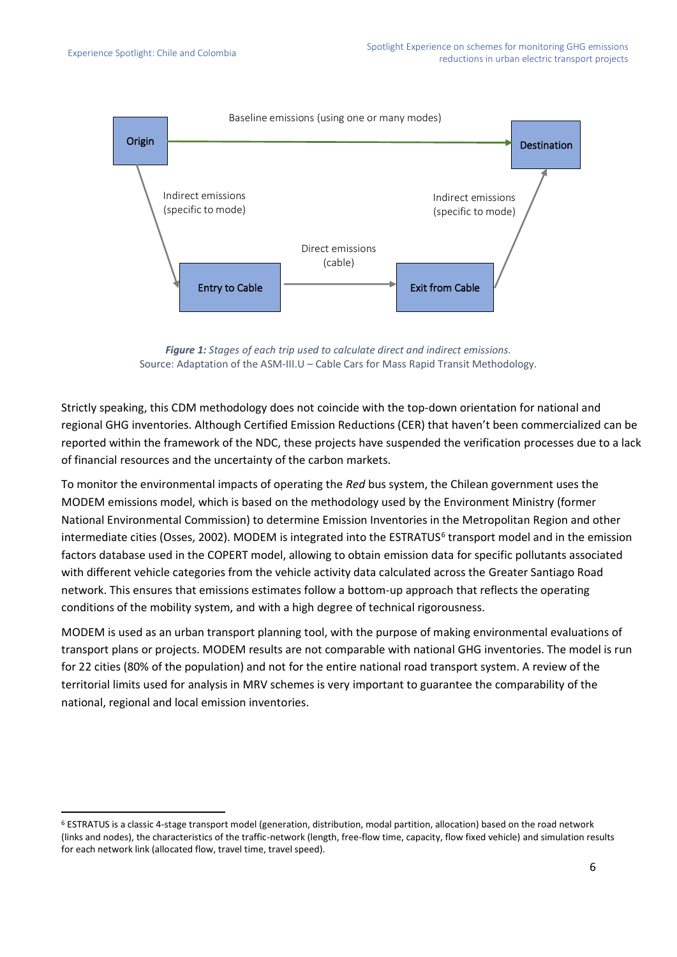

*Figure 1: Stages of each trip used to calculate direct and indirect emissions.* Source: Adaptation of the ASM-III.U – Cable Cars for Mass Rapid Transit Methodology.

Strictly speaking, this CDM methodology does not coincide with the top-down orientation for national and regional GHG inventories. Although Certified Emission Reductions (CER) that haven't been commercialized can be reported within the framework of the NDC, these projects have suspended the verification processes due to a lack of financial resources and the uncertainty of the carbon markets.

To monitor the environmental impacts of operating the *Red* bus system, the Chilean government uses the MODEM emissions model, which is based on the methodology used by the Environment Ministry (former National Environmental Commission) to determine Emission Inventories in the Metropolitan Region and other intermediate cities (Osses, 2002). MODEM is integrated into the ESTRATUS<sup>6</sup> transport model and in the emission factors database used in the COPERT model, allowing to obtain emission data for specific pollutants associated with different vehicle categories from the vehicle activity data calculated across the Greater Santiago Road network. This ensures that emissions estimates follow a bottom-up approach that reflects the operating conditions of the mobility system, and with a high degree of technical rigorousness.

MODEM is used as an urban transport planning tool, with the purpose of making environmental evaluations of transport plans or projects. MODEM results are not comparable with national GHG inventories. The model is run for 22 cities (80% of the population) and not for the entire national road transport system. A review of the territorial limits used for analysis in MRV schemes is very important to guarantee the comparability of the national, regional and local emission inventories.

<sup>6</sup> ESTRATUS is a classic 4-stage transport model (generation, distribution, modal partition, allocation) based on the road network (links and nodes), the characteristics of the traffic-network (length, free-flow time, capacity, flow fixed vehicle) and simulation results for each network link (allocated flow, travel time, travel speed).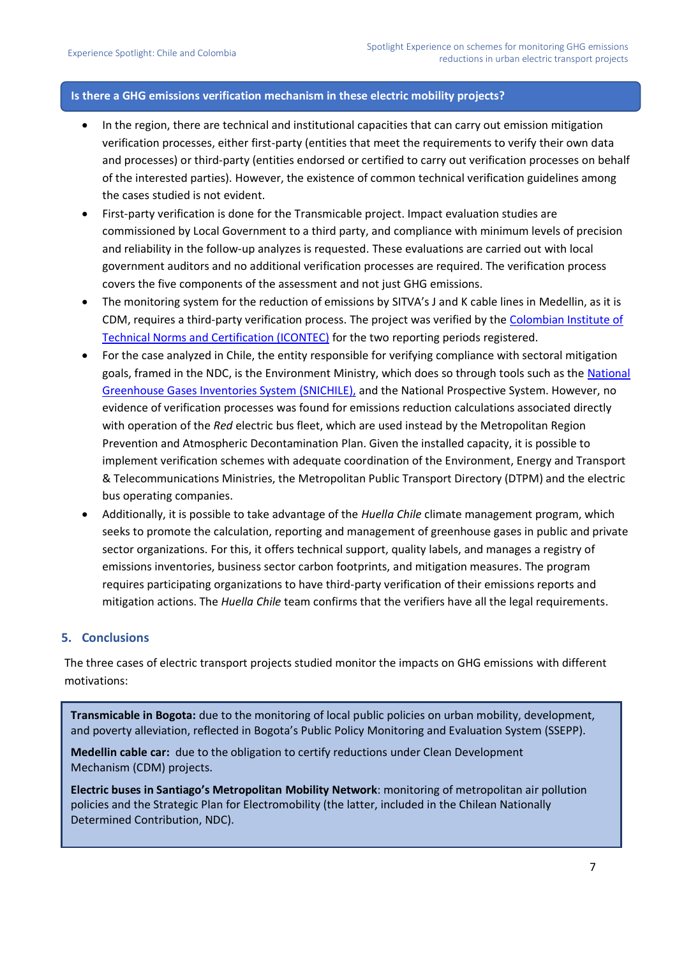#### **Is there a GHG emissions verification mechanism in these electric mobility projects?**

- In the region, there are technical and institutional capacities that can carry out emission mitigation verification processes, either first-party (entities that meet the requirements to verify their own data and processes) or third-party (entities endorsed or certified to carry out verification processes on behalf of the interested parties). However, the existence of common technical verification guidelines among the cases studied is not evident.
- First-party verification is done for the Transmicable project. Impact evaluation studies are commissioned by Local Government to a third party, and compliance with minimum levels of precision and reliability in the follow-up analyzes is requested. These evaluations are carried out with local government auditors and no additional verification processes are required. The verification process covers the five components of the assessment and not just GHG emissions.
- The monitoring system for the reduction of emissions by SITVA's J and K cable lines in Medellin, as it is CDM, requires a third-party verification process. The project was verified by the [Colombian Institute of](https://www.icontec.org/)  [Technical Norms and Certification \(ICONTEC\)](https://www.icontec.org/) for the two reporting periods registered.
- For the case analyzed in Chile, the entity responsible for verifying compliance with sectoral mitigation goals, framed in the NDC, is the Environment Ministry, which does so through tools such as the National [Greenhouse Gases Inventories System \(SNICHILE\),](https://snichile.mma.gob.cl/) and the National Prospective System. However, no evidence of verification processes was found for emissions reduction calculations associated directly with operation of the *Red* electric bus fleet, which are used instead by the Metropolitan Region Prevention and Atmospheric Decontamination Plan. Given the installed capacity, it is possible to implement verification schemes with adequate coordination of the Environment, Energy and Transport & Telecommunications Ministries, the Metropolitan Public Transport Directory (DTPM) and the electric bus operating companies.
- Additionally, it is possible to take advantage of the *Huella Chile* climate management program, which seeks to promote the calculation, reporting and management of greenhouse gases in public and private sector organizations. For this, it offers technical support, quality labels, and manages a registry of emissions inventories, business sector carbon footprints, and mitigation measures. The program requires participating organizations to have third-party verification of their emissions reports and mitigation actions. The *Huella Chile* team confirms that the verifiers have all the legal requirements.

#### **5. Conclusions**

The three cases of electric transport projects studied monitor the impacts on GHG emissions with different motivations:

**Transmicable in Bogota:** due to the monitoring of local public policies on urban mobility, development, and poverty alleviation, reflected in Bogota's Public Policy Monitoring and Evaluation System (SSEPP).

**Medellin cable car:** due to the obligation to certify reductions under Clean Development Mechanism (CDM) projects.

**Electric buses in Santiago's Metropolitan Mobility Network**: monitoring of metropolitan air pollution policies and the Strategic Plan for Electromobility (the latter, included in the Chilean Nationally Determined Contribution, NDC).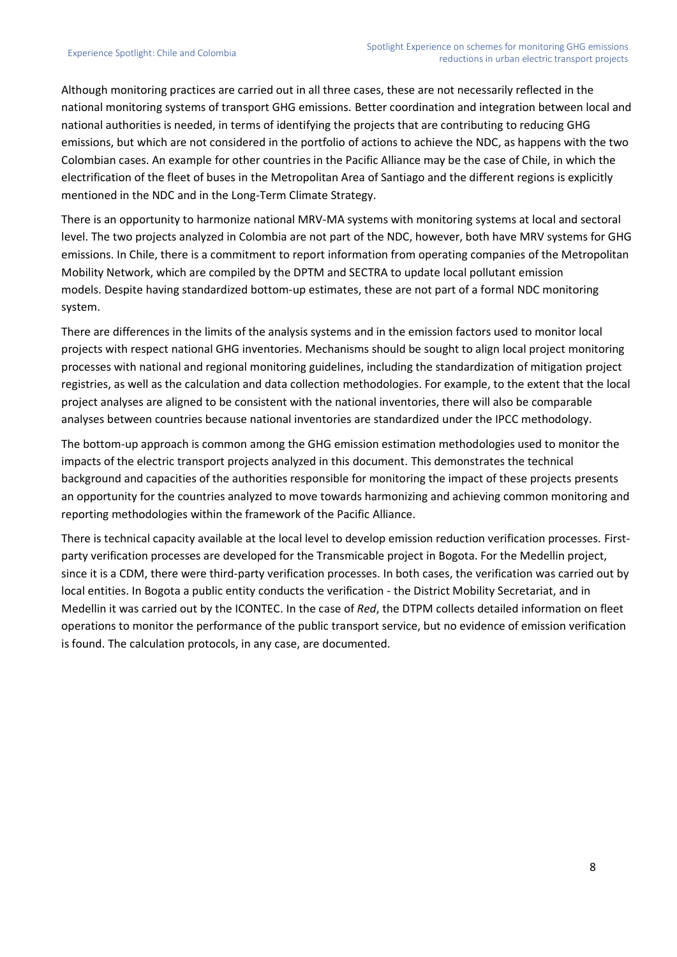Although monitoring practices are carried out in all three cases, these are not necessarily reflected in the national monitoring systems of transport GHG emissions. Better coordination and integration between local and national authorities is needed, in terms of identifying the projects that are contributing to reducing GHG emissions, but which are not considered in the portfolio of actions to achieve the NDC, as happens with the two Colombian cases. An example for other countries in the Pacific Alliance may be the case of Chile, in which the electrification of the fleet of buses in the Metropolitan Area of Santiago and the different regions is explicitly mentioned in the NDC and in the Long-Term Climate Strategy.

There is an opportunity to harmonize national MRV-MA systems with monitoring systems at local and sectoral level. The two projects analyzed in Colombia are not part of the NDC, however, both have MRV systems for GHG emissions. In Chile, there is a commitment to report information from operating companies of the Metropolitan Mobility Network, which are compiled by the DPTM and SECTRA to update local pollutant emission models. Despite having standardized bottom-up estimates, these are not part of a formal NDC monitoring system.

There are differences in the limits of the analysis systems and in the emission factors used to monitor local projects with respect national GHG inventories. Mechanisms should be sought to align local project monitoring processes with national and regional monitoring guidelines, including the standardization of mitigation project registries, as well as the calculation and data collection methodologies. For example, to the extent that the local project analyses are aligned to be consistent with the national inventories, there will also be comparable analyses between countries because national inventories are standardized under the IPCC methodology.

The bottom-up approach is common among the GHG emission estimation methodologies used to monitor the impacts of the electric transport projects analyzed in this document. This demonstrates the technical background and capacities of the authorities responsible for monitoring the impact of these projects presents an opportunity for the countries analyzed to move towards harmonizing and achieving common monitoring and reporting methodologies within the framework of the Pacific Alliance.

There is technical capacity available at the local level to develop emission reduction verification processes. Firstparty verification processes are developed for the Transmicable project in Bogota. For the Medellin project, since it is a CDM, there were third-party verification processes. In both cases, the verification was carried out by local entities. In Bogota a public entity conducts the verification - the District Mobility Secretariat, and in Medellin it was carried out by the ICONTEC. In the case of *Red*, the DTPM collects detailed information on fleet operations to monitor the performance of the public transport service, but no evidence of emission verification is found. The calculation protocols, in any case, are documented.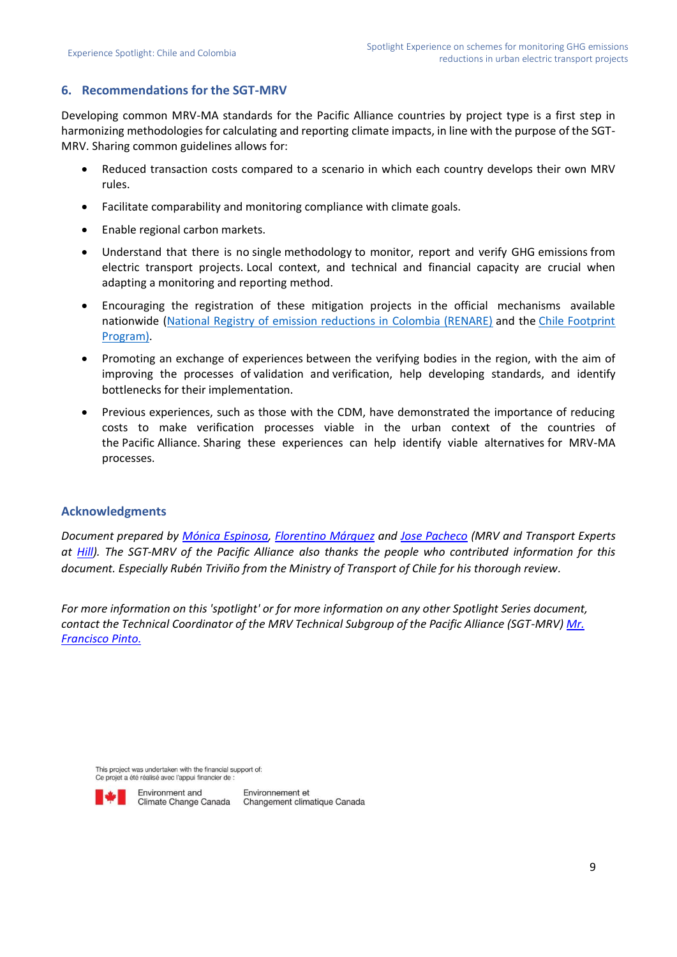## **6. Recommendations for the SGT-MRV**

Developing common MRV-MA standards for the Pacific Alliance countries by project type is a first step in harmonizing methodologies for calculating and reporting climate impacts, in line with the purpose of the SGT-MRV. Sharing common guidelines allows for:

- Reduced transaction costs compared to a scenario in which each country develops their own MRV rules.
- Facilitate comparability and monitoring compliance with climate goals.
- Enable regional carbon markets.
- Understand that there is no single methodology to monitor, report and verify GHG emissions from electric transport projects. Local context, and technical and financial capacity are crucial when adapting a monitoring and reporting method.
- Encouraging the registration of these mitigation projects in the official mechanisms available nationwide [\(National Registry of emission reductions in Colombia \(RENARE\)](http://renare.siac.gov.co/GPY-web/#/ingresar) and the [Chile Footprint](https://huellachile.mma.gob.cl/)  [Program\)](https://huellachile.mma.gob.cl/).
- Promoting an exchange of experiences between the verifying bodies in the region, with the aim of improving the processes of validation and verification, help developing standards, and identify bottlenecks for their implementation.
- Previous experiences, such as those with the CDM, have demonstrated the importance of reducing costs to make verification processes viable in the urban context of the countries of the Pacific Alliance. Sharing these experiences can help identify viable alternatives for MRV-MA processes.

#### **Acknowledgments**

*Document prepared by [Mónica Espinosa,](https://www.linkedin.com/in/monica-espinosa-v-94b29a53/) [Florentino Márquez](https://www.linkedin.com/in/jcflorentino/) and [Jose Pacheco](https://www.linkedin.com/in/jose-pacheco-iamb/) (MRV and Transport Experts at [Hill\)](https://hill.com.co/). The SGT-MRV of the Pacific Alliance also thanks the people who contributed information for this document. Especially Rubén Triviño from the Ministry of Transport of Chile for his thorough review.*

*For more information on this 'spotlight' or for more information on any other Spotlight Series document, contact the Technical Coordinator of the MRV Technical Subgroup of the Pacific Alliance (SGT-MRV) [Mr.](mailto:mailto:fjpintop@gmail.com?subject=Spotlight%20Paper)  [Francisco Pinto.](mailto:mailto:fjpintop@gmail.com?subject=Spotlight%20Paper)*

This project was undertaken with the financial support of Ce projet a été réalisé avec l'appui financier de :



Environnement et Climate Change Canada Changement climatique Canada